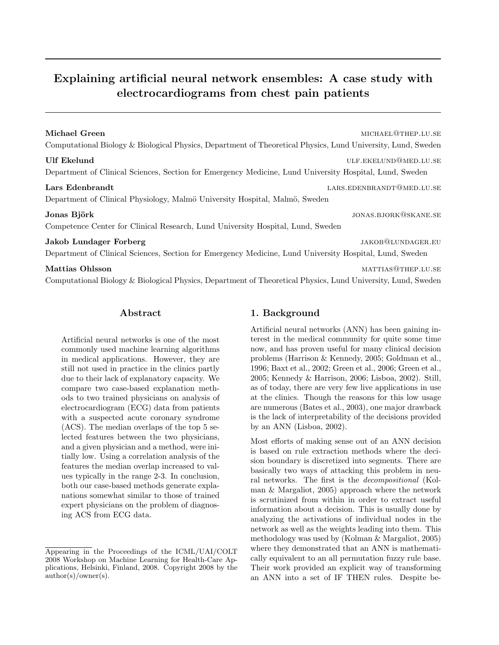# Explaining artificial neural network ensembles: A case study with electrocardiograms from chest pain patients

| Michael Green<br>MICHAEL@THEP.LU.SE<br>Computational Biology & Biological Physics, Department of Theoretical Physics, Lund University, Lund, Sweden<br><b>Ulf Ekelund</b><br>ULF.EKELUND@MED.LU.SE<br>Department of Clinical Sciences, Section for Emergency Medicine, Lund University Hospital, Lund, Sweden<br>LARS.EDENBRANDT@MED.LU.SE<br>Lars Edenbrandt<br>Department of Clinical Physiology, Malmö University Hospital, Malmö, Sweden<br>Jonas Björk<br>JONAS.BJORK@SKANE.SE<br>Competence Center for Clinical Research, Lund University Hospital, Lund, Sweden<br>Jakob Lundager Forberg<br>JAKOB@LUNDAGER.EU<br>Department of Clinical Sciences, Section for Emergency Medicine, Lund University Hospital, Lund, Sweden<br>MATTIAS@THEP.LU.SE<br>Mattias Ohlsson<br>Computational Biology & Biological Physics, Department of Theoretical Physics, Lund University, Lund, Sweden |  |
|-------------------------------------------------------------------------------------------------------------------------------------------------------------------------------------------------------------------------------------------------------------------------------------------------------------------------------------------------------------------------------------------------------------------------------------------------------------------------------------------------------------------------------------------------------------------------------------------------------------------------------------------------------------------------------------------------------------------------------------------------------------------------------------------------------------------------------------------------------------------------------------------|--|
|                                                                                                                                                                                                                                                                                                                                                                                                                                                                                                                                                                                                                                                                                                                                                                                                                                                                                           |  |
|                                                                                                                                                                                                                                                                                                                                                                                                                                                                                                                                                                                                                                                                                                                                                                                                                                                                                           |  |
|                                                                                                                                                                                                                                                                                                                                                                                                                                                                                                                                                                                                                                                                                                                                                                                                                                                                                           |  |
|                                                                                                                                                                                                                                                                                                                                                                                                                                                                                                                                                                                                                                                                                                                                                                                                                                                                                           |  |
|                                                                                                                                                                                                                                                                                                                                                                                                                                                                                                                                                                                                                                                                                                                                                                                                                                                                                           |  |
|                                                                                                                                                                                                                                                                                                                                                                                                                                                                                                                                                                                                                                                                                                                                                                                                                                                                                           |  |

# Abstract

Artificial neural networks is one of the most commonly used machine learning algorithms in medical applications. However, they are still not used in practice in the clinics partly due to their lack of explanatory capacity. We compare two case-based explanation methods to two trained physicians on analysis of electrocardiogram (ECG) data from patients with a suspected acute coronary syndrome (ACS). The median overlaps of the top 5 selected features between the two physicians, and a given physician and a method, were initially low. Using a correlation analysis of the features the median overlap increased to values typically in the range 2-3. In conclusion, both our case-based methods generate explanations somewhat similar to those of trained expert physicians on the problem of diagnosing ACS from ECG data.

# 1. Background

Artificial neural networks (ANN) has been gaining interest in the medical community for quite some time now, and has proven useful for many clinical decision problems (Harrison & Kennedy, 2005; Goldman et al., 1996; Baxt et al., 2002; Green et al., 2006; Green et al., 2005; Kennedy & Harrison, 2006; Lisboa, 2002). Still, as of today, there are very few live applications in use at the clinics. Though the reasons for this low usage are numerous (Bates et al., 2003), one major drawback is the lack of interpretability of the decisions provided by an ANN (Lisboa, 2002).

Most efforts of making sense out of an ANN decision is based on rule extraction methods where the decision boundary is discretized into segments. There are basically two ways of attacking this problem in neural networks. The first is the decompositional (Kolman & Margaliot, 2005) approach where the network is scrutinized from within in order to extract useful information about a decision. This is usually done by analyzing the activations of individual nodes in the network as well as the weights leading into them. This methodology was used by (Kolman & Margaliot, 2005) where they demonstrated that an ANN is mathematically equivalent to an all permutation fuzzy rule base. Their work provided an explicit way of transforming an ANN into a set of IF THEN rules. Despite be-

Appearing in the Proceedings of the ICML/UAI/COLT 2008 Workshop on Machine Learning for Health-Care Applications, Helsinki, Finland, 2008. Copyright 2008 by the author(s)/owner(s).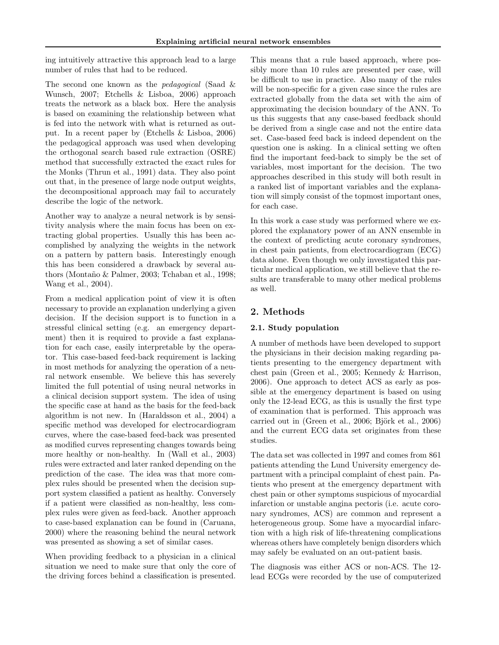ing intuitively attractive this approach lead to a large number of rules that had to be reduced.

The second one known as the *pedagogical* (Saad & Wunsch, 2007; Etchells & Lisboa, 2006) approach treats the network as a black box. Here the analysis is based on examining the relationship between what is fed into the network with what is returned as output. In a recent paper by (Etchells & Lisboa, 2006) the pedagogical approach was used when developing the orthogonal search based rule extraction (OSRE) method that successfully extracted the exact rules for the Monks (Thrun et al., 1991) data. They also point out that, in the presence of large node output weights, the decompositional approach may fail to accurately describe the logic of the network.

Another way to analyze a neural network is by sensitivity analysis where the main focus has been on extracting global properties. Usually this has been accomplished by analyzing the weights in the network on a pattern by pattern basis. Interestingly enough this has been considered a drawback by several authors (Montaño & Palmer, 2003; Tchaban et al., 1998; Wang et al., 2004).

From a medical application point of view it is often necessary to provide an explanation underlying a given decision. If the decision support is to function in a stressful clinical setting (e.g. an emergency department) then it is required to provide a fast explanation for each case, easily interpretable by the operator. This case-based feed-back requirement is lacking in most methods for analyzing the operation of a neural network ensemble. We believe this has severely limited the full potential of using neural networks in a clinical decision support system. The idea of using the specific case at hand as the basis for the feed-back algorithm is not new. In (Haraldsson et al., 2004) a specific method was developed for electrocardiogram curves, where the case-based feed-back was presented as modified curves representing changes towards being more healthy or non-healthy. In (Wall et al., 2003) rules were extracted and later ranked depending on the prediction of the case. The idea was that more complex rules should be presented when the decision support system classified a patient as healthy. Conversely if a patient were classified as non-healthy, less complex rules were given as feed-back. Another approach to case-based explanation can be found in (Caruana, 2000) where the reasoning behind the neural network was presented as showing a set of similar cases.

When providing feedback to a physician in a clinical situation we need to make sure that only the core of the driving forces behind a classification is presented.

This means that a rule based approach, where possibly more than 10 rules are presented per case, will be difficult to use in practice. Also many of the rules will be non-specific for a given case since the rules are extracted globally from the data set with the aim of approximating the decision boundary of the ANN. To us this suggests that any case-based feedback should be derived from a single case and not the entire data set. Case-based feed back is indeed dependent on the question one is asking. In a clinical setting we often find the important feed-back to simply be the set of variables, most important for the decision. The two approaches described in this study will both result in a ranked list of important variables and the explanation will simply consist of the topmost important ones, for each case.

In this work a case study was performed where we explored the explanatory power of an ANN ensemble in the context of predicting acute coronary syndromes, in chest pain patients, from electrocardiogram (ECG) data alone. Even though we only investigated this particular medical application, we still believe that the results are transferable to many other medical problems as well.

# 2. Methods

## 2.1. Study population

A number of methods have been developed to support the physicians in their decision making regarding patients presenting to the emergency department with chest pain (Green et al., 2005; Kennedy & Harrison, 2006). One approach to detect ACS as early as possible at the emergency department is based on using only the 12-lead ECG, as this is usually the first type of examination that is performed. This approach was carried out in (Green et al., 2006; Björk et al., 2006) and the current ECG data set originates from these studies.

The data set was collected in 1997 and comes from 861 patients attending the Lund University emergency department with a principal complaint of chest pain. Patients who present at the emergency department with chest pain or other symptoms suspicious of myocardial infarction or unstable angina pectoris (i.e. acute coronary syndromes, ACS) are common and represent a heterogeneous group. Some have a myocardial infarction with a high risk of life-threatening complications whereas others have completely benign disorders which may safely be evaluated on an out-patient basis.

The diagnosis was either ACS or non-ACS. The 12 lead ECGs were recorded by the use of computerized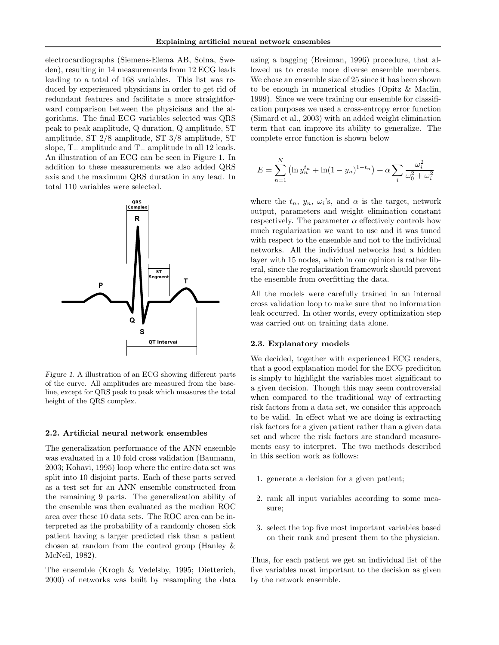electrocardiographs (Siemens-Elema AB, Solna, Sweden), resulting in 14 measurements from 12 ECG leads leading to a total of 168 variables. This list was reduced by experienced physicians in order to get rid of redundant features and facilitate a more straightforward comparison between the physicians and the algorithms. The final ECG variables selected was QRS peak to peak amplitude, Q duration, Q amplitude, ST amplitude, ST 2/8 amplitude, ST 3/8 amplitude, ST slope,  $T_+$  amplitude and  $T_-\$ amplitude in all 12 leads. An illustration of an ECG can be seen in Figure 1. In addition to these measurements we also added QRS axis and the maximum QRS duration in any lead. In total 110 variables were selected.



Figure 1. A illustration of an ECG showing different parts of the curve. All amplitudes are measured from the baseline, except for QRS peak to peak which measures the total height of the QRS complex.

#### 2.2. Artificial neural network ensembles

The generalization performance of the ANN ensemble was evaluated in a 10 fold cross validation (Baumann, 2003; Kohavi, 1995) loop where the entire data set was split into 10 disjoint parts. Each of these parts served as a test set for an ANN ensemble constructed from the remaining 9 parts. The generalization ability of the ensemble was then evaluated as the median ROC area over these 10 data sets. The ROC area can be interpreted as the probability of a randomly chosen sick patient having a larger predicted risk than a patient chosen at random from the control group (Hanley & McNeil, 1982).

The ensemble (Krogh & Vedelsby, 1995; Dietterich, 2000) of networks was built by resampling the data

using a bagging (Breiman, 1996) procedure, that allowed us to create more diverse ensemble members. We chose an ensemble size of 25 since it has been shown to be enough in numerical studies (Opitz & Maclin, 1999). Since we were training our ensemble for classification purposes we used a cross-entropy error function (Simard et al., 2003) with an added weight elimination term that can improve its ability to generalize. The complete error function is shown below

$$
E = \sum_{n=1}^{N} \left( \ln y_n^{t_n} + \ln(1 - y_n)^{1 - t_n} \right) + \alpha \sum_{i} \frac{\omega_i^2}{\omega_0^2 + \omega_i^2}
$$

where the  $t_n$ ,  $y_n$ ,  $\omega_i$ 's, and  $\alpha$  is the target, network output, parameters and weight elimination constant respectively. The parameter  $\alpha$  effectively controls how much regularization we want to use and it was tuned with respect to the ensemble and not to the individual networks. All the individual networks had a hidden layer with 15 nodes, which in our opinion is rather liberal, since the regularization framework should prevent the ensemble from overfitting the data.

All the models were carefully trained in an internal cross validation loop to make sure that no information leak occurred. In other words, every optimization step was carried out on training data alone.

#### 2.3. Explanatory models

We decided, together with experienced ECG readers, that a good explanation model for the ECG prediciton is simply to highlight the variables most significant to a given decision. Though this may seem controversial when compared to the traditional way of extracting risk factors from a data set, we consider this approach to be valid. In effect what we are doing is extracting risk factors for a given patient rather than a given data set and where the risk factors are standard measurements easy to interpret. The two methods described in this section work as follows:

- 1. generate a decision for a given patient;
- 2. rank all input variables according to some measure;
- 3. select the top five most important variables based on their rank and present them to the physician.

Thus, for each patient we get an individual list of the five variables most important to the decision as given by the network ensemble.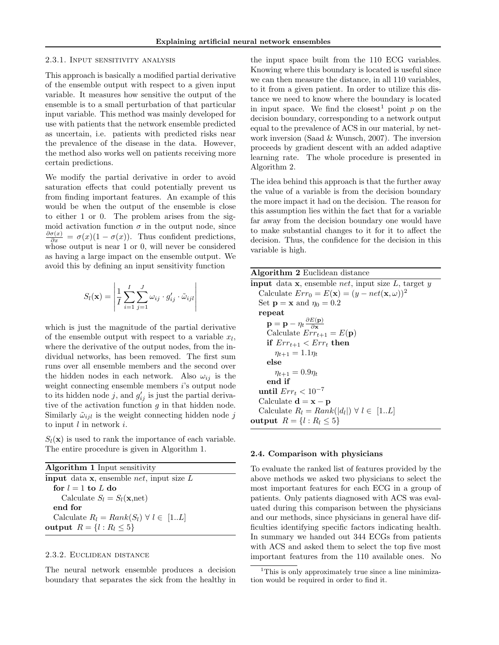#### 2.3.1. Input sensitivity analysis

This approach is basically a modified partial derivative of the ensemble output with respect to a given input variable. It measures how sensitive the output of the ensemble is to a small perturbation of that particular input variable. This method was mainly developed for use with patients that the network ensemble predicted as uncertain, i.e. patients with predicted risks near the prevalence of the disease in the data. However, the method also works well on patients receiving more certain predictions.

We modify the partial derivative in order to avoid saturation effects that could potentially prevent us from finding important features. An example of this would be when the output of the ensemble is close to either 1 or 0. The problem arises from the sigmoid activation function  $\sigma$  in the output node, since  $\frac{\partial \sigma(x)}{\partial x} = \sigma(x)(1 - \sigma(x))$ . Thus confident predictions, whose output is near 1 or 0, will never be considered as having a large impact on the ensemble output. We avoid this by defining an input sensitivity function

$$
S_l(\mathbf{x}) = \left| \frac{1}{I} \sum_{i=1}^{I} \sum_{j=1}^{J} \omega_{ij} \cdot g'_{ij} \cdot \tilde{\omega}_{ijl} \right|
$$

which is just the magnitude of the partial derivative of the ensemble output with respect to a variable  $x_l$ , where the derivative of the output nodes, from the individual networks, has been removed. The first sum runs over all ensemble members and the second over the hidden nodes in each network. Also  $\omega_{ij}$  is the weight connecting ensemble members i's output node to its hidden node j, and  $g'_{ij}$  is just the partial derivative of the activation function  $g$  in that hidden node. Similarly  $\tilde{\omega}_{ijl}$  is the weight connecting hidden node j to input  $l$  in network  $i$ .

 $S_l(\mathbf{x})$  is used to rank the importance of each variable. The entire procedure is given in Algorithm 1.

| <b>Algorithm 1</b> Input sensitivity                              |
|-------------------------------------------------------------------|
| <b>input</b> data <b>x</b> , ensemble <i>net</i> , input size $L$ |
| for $l = 1$ to L do                                               |
| Calculate $S_l = S_l(\mathbf{x}, \text{net})$                     |
| end for                                                           |
| Calculate $R_l = Rank(S_l) \ \forall \ l \in [1L]$                |
| output $R = \{l : R_l \leq 5\}$                                   |

#### 2.3.2. Euclidean distance

The neural network ensemble produces a decision boundary that separates the sick from the healthy in

the input space built from the 110 ECG variables. Knowing where this boundary is located is useful since we can then measure the distance, in all 110 variables, to it from a given patient. In order to utilize this distance we need to know where the boundary is located in input space. We find the closest<sup>1</sup> point p on the decision boundary, corresponding to a network output equal to the prevalence of ACS in our material, by network inversion (Saad & Wunsch, 2007). The inversion proceeds by gradient descent with an added adaptive learning rate. The whole procedure is presented in Algorithm 2.

The idea behind this approach is that the further away the value of a variable is from the decision boundary the more impact it had on the decision. The reason for this assumption lies within the fact that for a variable far away from the decision boundary one would have to make substantial changes to it for it to affect the decision. Thus, the confidence for the decision in this variable is high.

Algorithm 2 Euclidean distance **input** data  $x$ , ensemble *net*, input size  $L$ , target  $y$ Calculate  $Err_0 = E(\mathbf{x}) = (y - net(\mathbf{x}, \omega))^2$ Set  $\mathbf{p} = \mathbf{x}$  and  $\eta_0 = 0.2$ repeat  $\mathbf{p} = \mathbf{p} - \eta_t \frac{\partial E(\mathbf{p})}{\partial \mathbf{x}}$ ∂x Calculate  $Err_{t+1} = E(\mathbf{p})$ if  $Err_{t+1} < Err_t$  then  $\eta_{t+1} = 1.1 \eta_t$ else  $\eta_{t+1} = 0.9\eta_t$ end if until  $Err_t < 10^{-7}$ Calculate  $\mathbf{d} = \mathbf{x} - \mathbf{p}$ Calculate  $R_l = Rank(|d_l|) \ \forall \ l \in [1..L]$ output  $R = \{l : R_l \leq 5\}$ 

## 2.4. Comparison with physicians

To evaluate the ranked list of features provided by the above methods we asked two physicians to select the most important features for each ECG in a group of patients. Only patients diagnosed with ACS was evaluated during this comparison between the physicians and our methods, since physicians in general have difficulties identifying specific factors indicating health. In summary we handed out 344 ECGs from patients with ACS and asked them to select the top five most important features from the 110 available ones. No

<sup>&</sup>lt;sup>1</sup>This is only approximately true since a line minimization would be required in order to find it.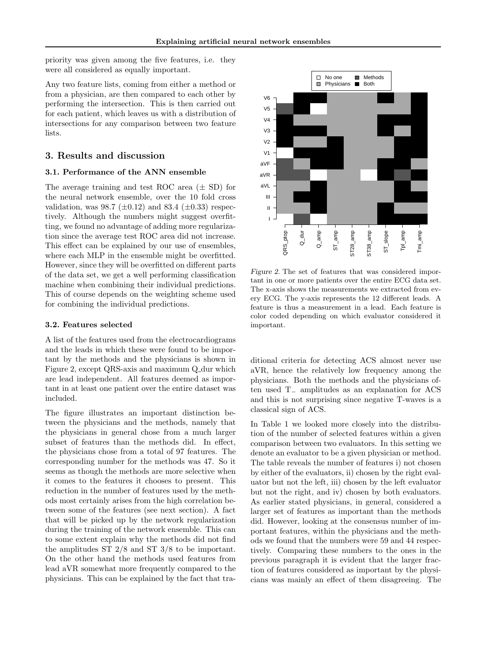priority was given among the five features, i.e. they were all considered as equally important.

Any two feature lists, coming from either a method or from a physician, are then compared to each other by performing the intersection. This is then carried out for each patient, which leaves us with a distribution of intersections for any comparison between two feature lists.

## 3. Results and discussion

#### 3.1. Performance of the ANN ensemble

The average training and test ROC area  $(\pm SD)$  for the neural network ensemble, over the 10 fold cross validation, was 98.7 ( $\pm 0.12$ ) and 83.4 ( $\pm 0.33$ ) respectively. Although the numbers might suggest overfitting, we found no advantage of adding more regularization since the average test ROC area did not increase. This effect can be explained by our use of ensembles, where each MLP in the ensemble might be overfitted. However, since they will be overfitted on different parts of the data set, we get a well performing classification machine when combining their individual predictions. This of course depends on the weighting scheme used for combining the individual predictions.

#### 3.2. Features selected

A list of the features used from the electrocardiograms and the leads in which these were found to be important by the methods and the physicians is shown in Figure 2, except QRS-axis and maximum Q\_dur which are lead independent. All features deemed as important in at least one patient over the entire dataset was included.

The figure illustrates an important distinction between the physicians and the methods, namely that the physicians in general chose from a much larger subset of features than the methods did. In effect, the physicians chose from a total of 97 features. The corresponding number for the methods was 47. So it seems as though the methods are more selective when it comes to the features it chooses to present. This reduction in the number of features used by the methods most certainly arises from the high correlation between some of the features (see next section). A fact that will be picked up by the network regularization during the training of the network ensemble. This can to some extent explain why the methods did not find the amplitudes ST 2/8 and ST 3/8 to be important. On the other hand the methods used features from lead aVR somewhat more frequently compared to the tion since the average test ROC area did not increase. This can be explained by our use of ensembles,  $\frac{2}{8}$  or  $\frac{2}{8}$  or  $\frac{2}{8}$  or  $\frac{2}{8}$  or  $\frac{2}{8}$  or  $\frac{2}{8}$  or  $\frac{2}{8}$  or  $\frac{2}{8}$  or  $\frac{2}{8}$  or  $\$ 



Figure 2. The set of features that was considered important in one or more patients over the entire ECG data set. The x-axis shows the measurements we extracted from every ECG. The y-axis represents the 12 different leads. A feature is thus a measurement in a lead. Each feature is color coded depending on which evaluator considered it important.

ditional criteria for detecting ACS almost never use aVR, hence the relatively low frequency among the physicians. Both the methods and the physicians often used T<sup>−</sup> amplitudes as an explanation for ACS and this is not surprising since negative T-waves is a classical sign of ACS.

In Table 1 we looked more closely into the distribution of the number of selected features within a given comparison between two evaluators. In this setting we denote an evaluator to be a given physician or method. The table reveals the number of features i) not chosen by either of the evaluators, ii) chosen by the right evaluator but not the left, iii) chosen by the left evaluator but not the right, and iv) chosen by both evaluators. As earlier stated physicians, in general, considered a larger set of features as important than the methods did. However, looking at the consensus number of important features, within the physicians and the methods we found that the numbers were 59 and 44 respectively. Comparing these numbers to the ones in the previous paragraph it is evident that the larger fraction of features considered as important by the physicians was mainly an effect of them disagreeing. The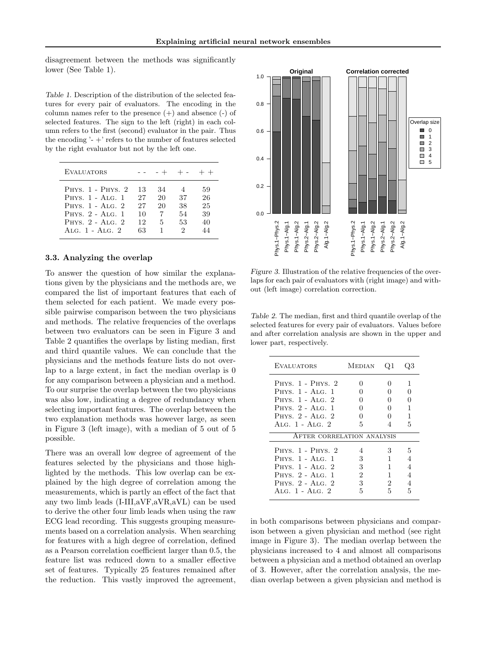disagreement between the methods was significantly lower (See Table 1).

Table 1. Description of the distribution of the selected features for every pair of evaluators. The encoding in the column names refer to the presence  $(+)$  and absence  $(-)$  of selected features. The sign to the left (right) in each column refers to the first (second) evaluator in the pair. Thus the encoding  $-$  + refers to the number of features selected by the right evaluator but not by the left one.

| <b>EVALUATORS</b>                                                                                                                                                              |                                  |                          | - + + - + +               |                                  |
|--------------------------------------------------------------------------------------------------------------------------------------------------------------------------------|----------------------------------|--------------------------|---------------------------|----------------------------------|
| PHYS. 1 - PHYS. 2<br>PHYS. $1 - \text{A} \text{LG}$ . 1<br>PHYS. $1 - \text{A}$ LG. $2$<br>PHYS. $2 - \text{A} \text{LG}$ . 1<br>PHYS. $2 - \text{Alg}$ . 2<br>ALG. 1 - ALG. 2 | 13<br>27<br>27<br>10<br>12<br>63 | 34<br>20<br>20<br>5<br>1 | 37<br>38<br>54<br>53<br>2 | 59<br>26<br>25<br>39<br>40<br>44 |

#### 3.3. Analyzing the overlap

To answer the question of how similar the explanations given by the physicians and the methods are, we compared the list of important features that each of them selected for each patient. We made every possible pairwise comparison between the two physicians and methods. The relative frequencies of the overlaps between two evaluators can be seen in Figure 3 and Table 2 quantifies the overlaps by listing median, first and third quantile values. We can conclude that the physicians and the methods feature lists do not overlap to a large extent, in fact the median overlap is 0 for any comparison between a physician and a method. To our surprise the overlap between the two physicians was also low, indicating a degree of redundancy when selecting important features. The overlap between the two explanation methods was however large, as seen in Figure 3 (left image), with a median of 5 out of 5 possible. FRS: 2 - Atto: 1 - Atto: 2 - Heliod: 1 - Atto: 2 - Atto: 2 - Atto: 2 - Atto: 2 - Atto: 2 - Based the overlap<br>
3.3. Analyzing the overlap<br>
3.3. Analyzing the overlap<br>
3.3. Analyzing the overlap<br>
3.3. Analyzing the overlap<br>

There was an overall low degree of agreement of the features selected by the physicians and those highlighted by the methods. This low overlap can be explained by the high degree of correlation among the measurements, which is partly an effect of the fact that any two limb leads (I-III,aVF,aVR,aVL) can be used to derive the other four limb leads when using the raw ECG lead recording. This suggests grouping measurements based on a correlation analysis. When searching for features with a high degree of correlation, defined as a Pearson correlation coefficient larger than 0.5, the feature list was reduced down to a smaller effective set of features. Typically 25 features remained after



Figure 3. Illustration of the relative frequencies of the overlaps for each pair of evaluators with (right image) and without (left image) correlation correction.

Table 2. The median, first and third quantile overlap of the selected features for every pair of evaluators. Values before and after correlation analysis are shown in the upper and lower part, respectively.

| <b>EVALUATORS</b>                  | Median | 21 |              |
|------------------------------------|--------|----|--------------|
| PHYS. 1 - PHYS. 2                  |        | 0  | 1            |
| PHYS. 1 - ALG. 1                   |        |    | $\mathbf{O}$ |
| PHYS. 1 - ALG. 2                   |        | 0  |              |
| PHYS. 2 - ALG. 1                   |        | 0  | 1            |
| PHYS. $2 - \text{AIG.} 2$          |        |    | 1            |
| ALG. $1 - \text{A}$ LG. $2$        | 5      |    | 5            |
| AFTER CORRELATION ANALYSIS         |        |    |              |
| PHYS. 1 - PHYS. 2                  |        | 3  | 5            |
| PHYS. 1 - ALG. 1                   | 3      |    | 4            |
| PHYS. $1 - \text{A} \text{LG}$ . 2 | 3      | 1  | 4            |
| PHYS. 2 - ALG. 1                   | 2      | 1  | 4            |
| PHYS. 2 - ALG. 2                   | 3      | 2  | 4            |
| ALG. $1 - \text{A}$ LG. $2$        | 5      | 5  | 5            |

in both comparisons between physicians and comparison between a given physician and method (see right image in Figure 3). The median overlap between the physicians increased to 4 and almost all comparisons between a physician and a method obtained an overlap of 3. However, after the correlation analysis, the median overlap between a given physician and method is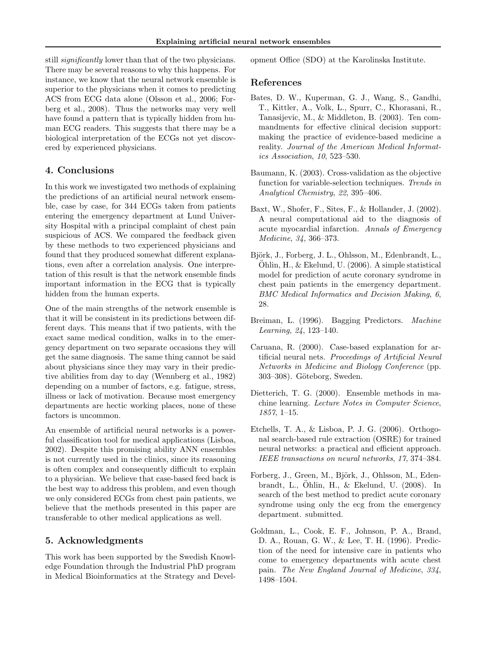still *significantly* lower than that of the two physicians. There may be several reasons to why this happens. For instance, we know that the neural network ensemble is superior to the physicians when it comes to predicting ACS from ECG data alone (Olsson et al., 2006; Forberg et al., 2008). Thus the networks may very well have found a pattern that is typically hidden from human ECG readers. This suggests that there may be a biological interpretation of the ECGs not yet discovered by experienced physicians.

# 4. Conclusions

In this work we investigated two methods of explaining the predictions of an artificial neural network ensemble, case by case, for 344 ECGs taken from patients entering the emergency department at Lund University Hospital with a principal complaint of chest pain suspicious of ACS. We compared the feedback given by these methods to two experienced physicians and found that they produced somewhat different explanations, even after a correlation analysis. One interpretation of this result is that the network ensemble finds important information in the ECG that is typically hidden from the human experts.

One of the main strengths of the network ensemble is that it will be consistent in its predictions between different days. This means that if two patients, with the exact same medical condition, walks in to the emergency department on two separate occasions they will get the same diagnosis. The same thing cannot be said about physicians since they may vary in their predictive abilities from day to day (Wennberg et al., 1982) depending on a number of factors, e.g. fatigue, stress, illness or lack of motivation. Because most emergency departments are hectic working places, none of these factors is uncommon.

An ensemble of artificial neural networks is a powerful classification tool for medical applications (Lisboa, 2002). Despite this promising ability ANN ensembles is not currently used in the clinics, since its reasoning is often complex and consequently difficult to explain to a physician. We believe that case-based feed back is the best way to address this problem, and even though we only considered ECGs from chest pain patients, we believe that the methods presented in this paper are transferable to other medical applications as well.

## 5. Acknowledgments

This work has been supported by the Swedish Knowledge Foundation through the Industrial PhD program in Medical Bioinformatics at the Strategy and Development Office (SDO) at the Karolinska Institute.

#### References

- Bates, D. W., Kuperman, G. J., Wang, S., Gandhi, T., Kittler, A., Volk, L., Spurr, C., Khorasani, R., Tanasijevic, M., & Middleton, B. (2003). Ten commandments for effective clinical decision support: making the practice of evidence-based medicine a reality. Journal of the American Medical Informatics Association, 10, 523–530.
- Baumann, K. (2003). Cross-validation as the objective function for variable-selection techniques. Trends in Analytical Chemistry, 22, 395–406.
- Baxt, W., Shofer, F., Sites, F., & Hollander, J. (2002). A neural computational aid to the diagnosis of acute myocardial infarction. Annals of Emergency Medicine, 34, 366–373.
- Björk, J., Forberg, J. L., Ohlsson, M., Edenbrandt, L.,  $\ddot{\text{Ohlin}}, \text{H.,} \& \text{Ekelund}, \text{U.} (2006)$ . A simple statistical model for prediction of acute coronary syndrome in chest pain patients in the emergency department. BMC Medical Informatics and Decision Making, 6, 28.
- Breiman, L. (1996). Bagging Predictors. Machine Learning, 24, 123–140.
- Caruana, R. (2000). Case-based explanation for artificial neural nets. Proceedings of Artificial Neural Networks in Medicine and Biology Conference (pp. 303–308). Göteborg, Sweden.
- Dietterich, T. G. (2000). Ensemble methods in machine learning. Lecture Notes in Computer Science, 1857, 1–15.
- Etchells, T. A., & Lisboa, P. J. G. (2006). Orthogonal search-based rule extraction (OSRE) for trained neural networks: a practical and efficient approach. IEEE transactions on neural networks, 17, 374–384.
- Forberg, J., Green, M., Björk, J., Ohlsson, M., Edenbrandt, L., Öhlin, H., & Ekelund, U.  $(2008)$ . In search of the best method to predict acute coronary syndrome using only the ecg from the emergency department. submitted.
- Goldman, L., Cook, E. F., Johnson, P. A., Brand, D. A., Rouan, G. W., & Lee, T. H. (1996). Prediction of the need for intensive care in patients who come to emergency departments with acute chest pain. The New England Journal of Medicine, 334, 1498–1504.